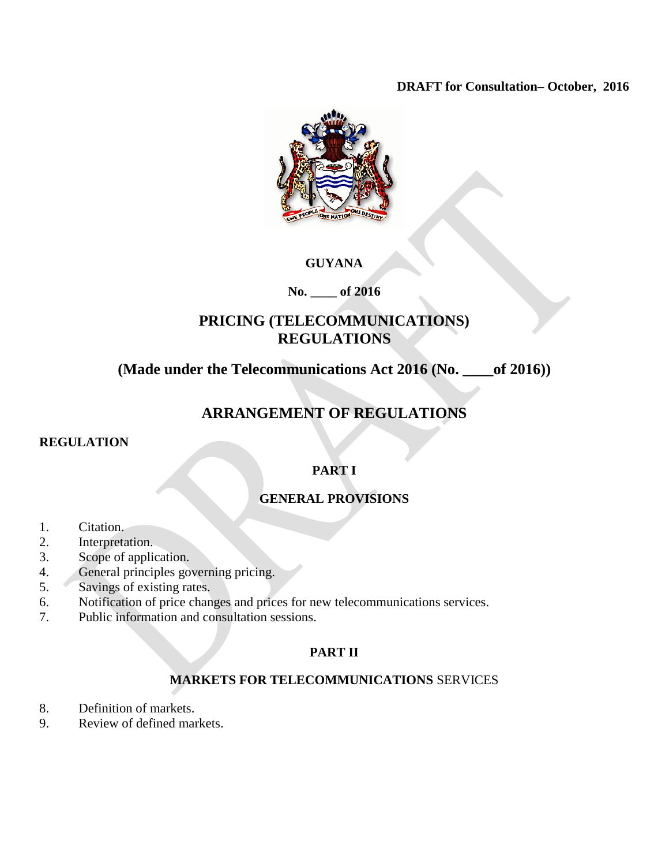## **DRAFT for Consultation– October, 2016**



# **GUYANA**

# **No. \_\_\_\_ of 2016**

# **PRICING (TELECOMMUNICATIONS) REGULATIONS**

# **(Made under the Telecommunications Act 2016 (No. \_\_\_\_of 2016))**

# **ARRANGEMENT OF REGULATIONS**

#### **REGULATION**

# **PART I**

# **GENERAL PROVISIONS**

- 1. Citation.
- 2. Interpretation.
- 3. Scope of application.
- 4. General principles governing pricing.
- 5. Savings of existing rates.
- 6. Notification of price changes and prices for new telecommunications services.
- 7. Public information and consultation sessions.

# **PART II**

# **MARKETS FOR TELECOMMUNICATIONS** SERVICES

- 8. Definition of markets.
- 9. Review of defined markets.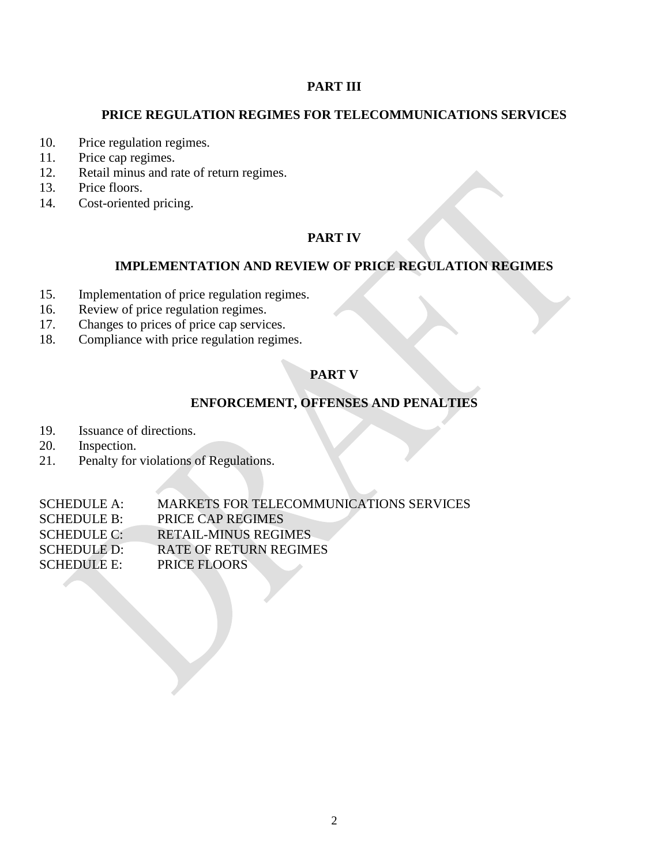# **PART III**

## **PRICE REGULATION REGIMES FOR TELECOMMUNICATIONS SERVICES**

- 10. Price regulation regimes.
- 11. Price cap regimes.
- 12. Retail minus and rate of return regimes.
- 13. Price floors.
- 14. Cost-oriented pricing.

# **PART IV**

# **IMPLEMENTATION AND REVIEW OF PRICE REGULATION REGIMES**

- 15. Implementation of price regulation regimes.
- 16. Review of price regulation regimes.
- 17. Changes to prices of price cap services.
- 18. Compliance with price regulation regimes.

# **PART V**

# **ENFORCEMENT, OFFENSES AND PENALTIES**

- 19. Issuance of directions.
- 20. Inspection.
- 21. Penalty for violations of Regulations.

SCHEDULE A: MARKETS FOR TELECOMMUNICATIONS SERVICES SCHEDULE B: PRICE CAP REGIMES SCHEDULE C: RETAIL-MINUS REGIMES SCHEDULE D: RATE OF RETURN REGIMES SCHEDULE E: PRICE FLOORS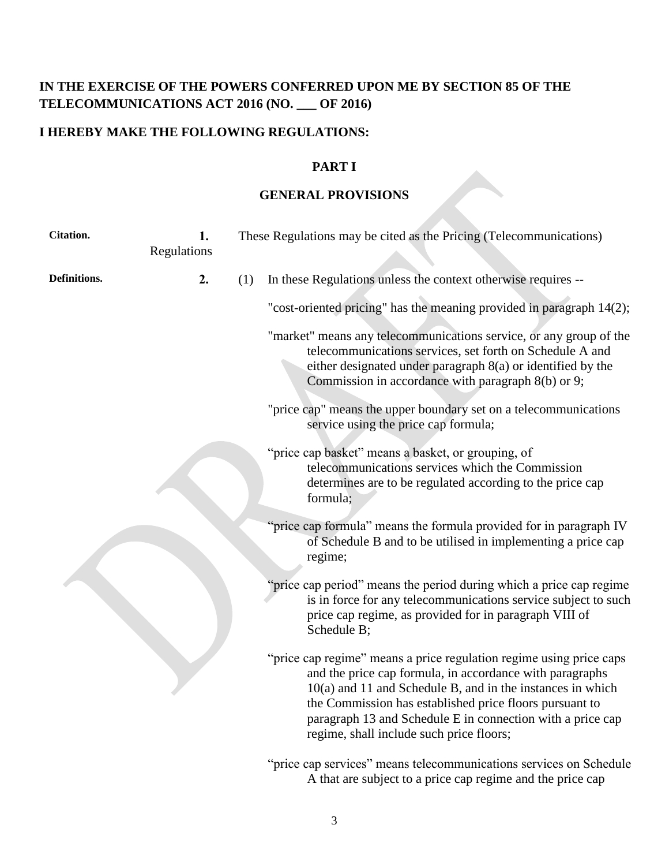# **IN THE EXERCISE OF THE POWERS CONFERRED UPON ME BY SECTION 85 OF THE TELECOMMUNICATIONS ACT 2016 (NO. \_\_\_ OF 2016)**

# **I HEREBY MAKE THE FOLLOWING REGULATIONS:**

# **PART I**

# **GENERAL PROVISIONS**

| Citation.    | 1.<br>Regulations |     | These Regulations may be cited as the Pricing (Telecommunications)                                                                                                                                                                                                                                                                                                   |
|--------------|-------------------|-----|----------------------------------------------------------------------------------------------------------------------------------------------------------------------------------------------------------------------------------------------------------------------------------------------------------------------------------------------------------------------|
| Definitions. | 2.                | (1) | In these Regulations unless the context otherwise requires --                                                                                                                                                                                                                                                                                                        |
|              |                   |     | "cost-oriented pricing" has the meaning provided in paragraph 14(2);                                                                                                                                                                                                                                                                                                 |
|              |                   |     | "market" means any telecommunications service, or any group of the<br>telecommunications services, set forth on Schedule A and<br>either designated under paragraph $8(a)$ or identified by the<br>Commission in accordance with paragraph 8(b) or 9;                                                                                                                |
|              |                   |     | "price cap" means the upper boundary set on a telecommunications<br>service using the price cap formula;                                                                                                                                                                                                                                                             |
|              |                   |     | "price cap basket" means a basket, or grouping, of<br>telecommunications services which the Commission<br>determines are to be regulated according to the price cap<br>formula;                                                                                                                                                                                      |
|              |                   |     | "price cap formula" means the formula provided for in paragraph IV<br>of Schedule B and to be utilised in implementing a price cap<br>regime;                                                                                                                                                                                                                        |
|              |                   |     | "price cap period" means the period during which a price cap regime<br>is in force for any telecommunications service subject to such<br>price cap regime, as provided for in paragraph VIII of<br>Schedule B;                                                                                                                                                       |
|              |                   |     | "price cap regime" means a price regulation regime using price caps<br>and the price cap formula, in accordance with paragraphs<br>$10(a)$ and 11 and Schedule B, and in the instances in which<br>the Commission has established price floors pursuant to<br>paragraph 13 and Schedule E in connection with a price cap<br>regime, shall include such price floors; |
|              |                   |     | "price cap services" means telecommunications services on Schedule<br>A that are subject to a price cap regime and the price cap                                                                                                                                                                                                                                     |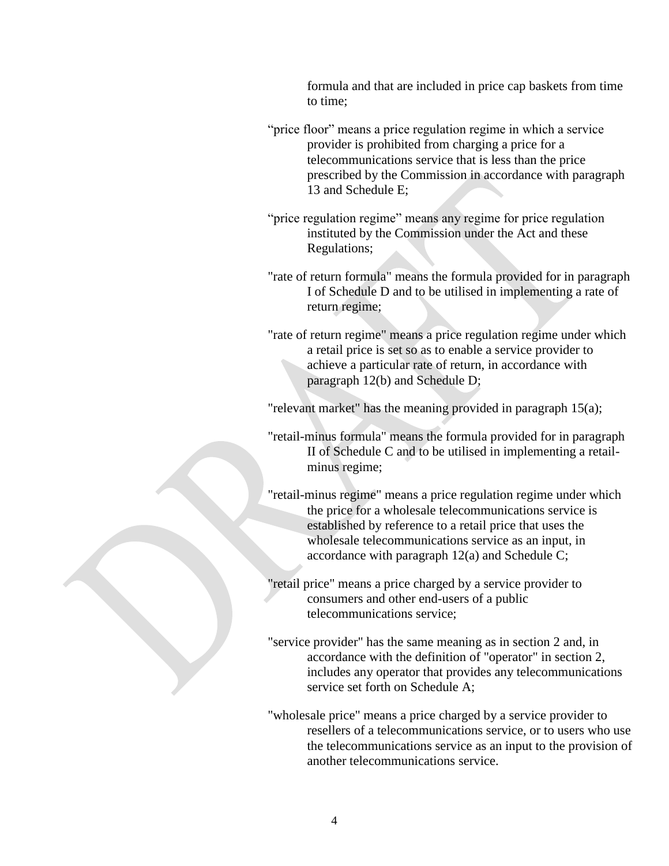formula and that are included in price cap baskets from time to time;

- "price floor" means a price regulation regime in which a service provider is prohibited from charging a price for a telecommunications service that is less than the price prescribed by the Commission in accordance with paragraph 13 and Schedule E;
- "price regulation regime" means any regime for price regulation instituted by the Commission under the Act and these Regulations;
- "rate of return formula" means the formula provided for in paragraph I of Schedule D and to be utilised in implementing a rate of return regime;
- "rate of return regime" means a price regulation regime under which a retail price is set so as to enable a service provider to achieve a particular rate of return, in accordance with paragraph 12(b) and Schedule D;

"relevant market" has the meaning provided in paragraph 15(a);

- "retail-minus formula" means the formula provided for in paragraph II of Schedule C and to be utilised in implementing a retailminus regime;
- "retail-minus regime" means a price regulation regime under which the price for a wholesale telecommunications service is established by reference to a retail price that uses the wholesale telecommunications service as an input, in accordance with paragraph 12(a) and Schedule C;

"retail price" means a price charged by a service provider to consumers and other end-users of a public telecommunications service;

- "service provider" has the same meaning as in section 2 and, in accordance with the definition of "operator" in section 2, includes any operator that provides any telecommunications service set forth on Schedule A;
- "wholesale price" means a price charged by a service provider to resellers of a telecommunications service, or to users who use the telecommunications service as an input to the provision of another telecommunications service.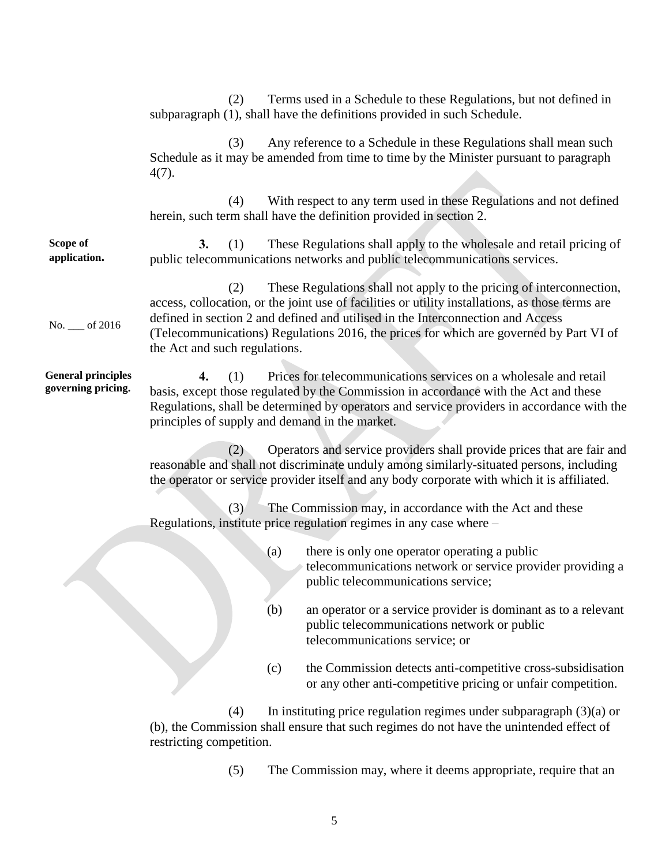(2) Terms used in a Schedule to these Regulations, but not defined in subparagraph (1), shall have the definitions provided in such Schedule. (3) Any reference to a Schedule in these Regulations shall mean such Schedule as it may be amended from time to time by the Minister pursuant to paragraph 4(7). (4) With respect to any term used in these Regulations and not defined herein, such term shall have the definition provided in section 2. **Scope of application.** No. \_\_\_ of 2016 **3.** (1) These Regulations shall apply to the wholesale and retail pricing of public telecommunications networks and public telecommunications services. (2) These Regulations shall not apply to the pricing of interconnection, access, collocation, or the joint use of facilities or utility installations, as those terms are defined in section 2 and defined and utilised in the Interconnection and Access (Telecommunications) Regulations 2016, the prices for which are governed by Part VI of the Act and such regulations. **General principles governing pricing. 4.** (1) Prices for telecommunications services on a wholesale and retail basis, except those regulated by the Commission in accordance with the Act and these Regulations, shall be determined by operators and service providers in accordance with the principles of supply and demand in the market. (2) Operators and service providers shall provide prices that are fair and reasonable and shall not discriminate unduly among similarly-situated persons, including the operator or service provider itself and any body corporate with which it is affiliated. (3) The Commission may, in accordance with the Act and these Regulations, institute price regulation regimes in any case where – (a) there is only one operator operating a public telecommunications network or service provider providing a public telecommunications service; (b) an operator or a service provider is dominant as to a relevant public telecommunications network or public telecommunications service; or (c) the Commission detects anti-competitive cross-subsidisation or any other anti-competitive pricing or unfair competition. (4) In instituting price regulation regimes under subparagraph (3)(a) or (b), the Commission shall ensure that such regimes do not have the unintended effect of restricting competition.

(5) The Commission may, where it deems appropriate, require that an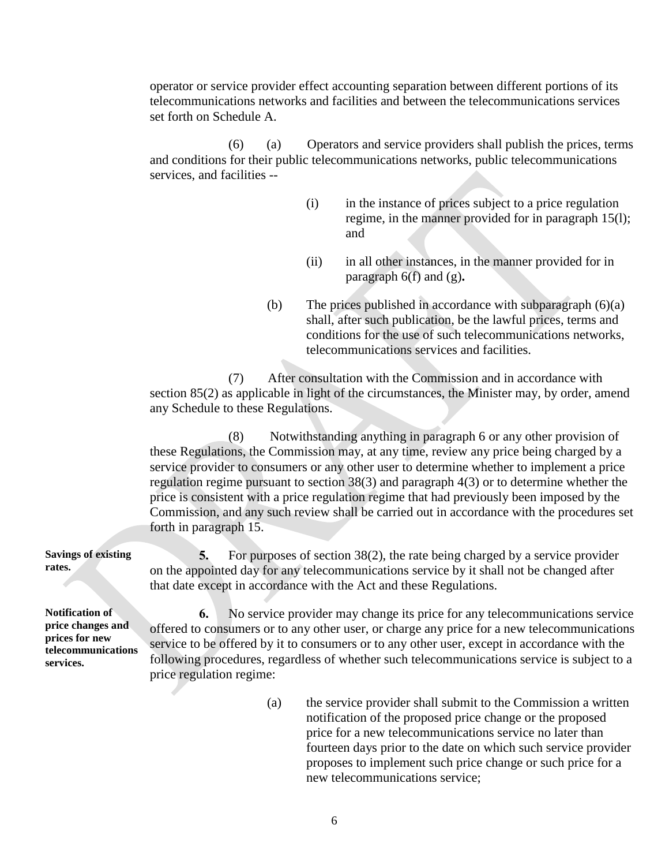operator or service provider effect accounting separation between different portions of its telecommunications networks and facilities and between the telecommunications services set forth on Schedule A.

(6) (a) Operators and service providers shall publish the prices, terms and conditions for their public telecommunications networks, public telecommunications services, and facilities --

- (i) in the instance of prices subject to a price regulation regime, in the manner provided for in paragraph 15(l); and
- (ii) in all other instances, in the manner provided for in paragraph 6(f) and (g)**.**
- (b) The prices published in accordance with subparagraph (6)(a) shall, after such publication, be the lawful prices, terms and conditions for the use of such telecommunications networks, telecommunications services and facilities.

(7) After consultation with the Commission and in accordance with section 85(2) as applicable in light of the circumstances, the Minister may, by order, amend any Schedule to these Regulations.

(8) Notwithstanding anything in paragraph 6 or any other provision of these Regulations, the Commission may, at any time, review any price being charged by a service provider to consumers or any other user to determine whether to implement a price regulation regime pursuant to section 38(3) and paragraph 4(3) or to determine whether the price is consistent with a price regulation regime that had previously been imposed by the Commission, and any such review shall be carried out in accordance with the procedures set forth in paragraph 15.

**5.** For purposes of section 38(2), the rate being charged by a service provider on the appointed day for any telecommunications service by it shall not be changed after that date except in accordance with the Act and these Regulations.

**Notification of price changes and prices for new telecommunications services.**

**Savings of existing** 

**rates.**

**6.** No service provider may change its price for any telecommunications service offered to consumers or to any other user, or charge any price for a new telecommunications service to be offered by it to consumers or to any other user, except in accordance with the following procedures, regardless of whether such telecommunications service is subject to a price regulation regime:

> (a) the service provider shall submit to the Commission a written notification of the proposed price change or the proposed price for a new telecommunications service no later than fourteen days prior to the date on which such service provider proposes to implement such price change or such price for a new telecommunications service;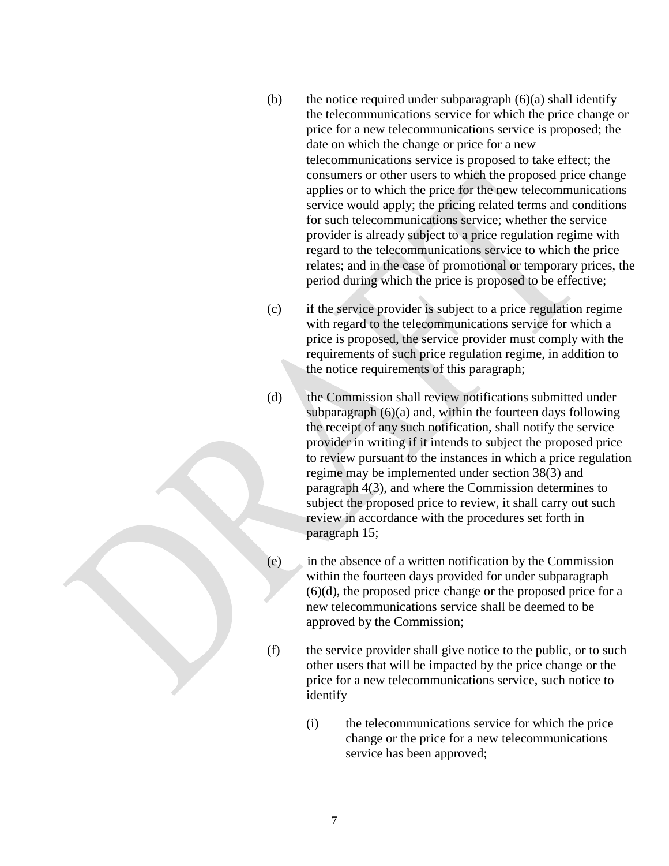- (b) the notice required under subparagraph  $(6)(a)$  shall identify the telecommunications service for which the price change or price for a new telecommunications service is proposed; the date on which the change or price for a new telecommunications service is proposed to take effect; the consumers or other users to which the proposed price change applies or to which the price for the new telecommunications service would apply; the pricing related terms and conditions for such telecommunications service; whether the service provider is already subject to a price regulation regime with regard to the telecommunications service to which the price relates; and in the case of promotional or temporary prices, the period during which the price is proposed to be effective;
- (c) if the service provider is subject to a price regulation regime with regard to the telecommunications service for which a price is proposed, the service provider must comply with the requirements of such price regulation regime, in addition to the notice requirements of this paragraph;
- (d) the Commission shall review notifications submitted under subparagraph (6)(a) and, within the fourteen days following the receipt of any such notification, shall notify the service provider in writing if it intends to subject the proposed price to review pursuant to the instances in which a price regulation regime may be implemented under section 38(3) and paragraph 4(3), and where the Commission determines to subject the proposed price to review, it shall carry out such review in accordance with the procedures set forth in paragraph 15;
- (e) in the absence of a written notification by the Commission within the fourteen days provided for under subparagraph (6)(d), the proposed price change or the proposed price for a new telecommunications service shall be deemed to be approved by the Commission;
- (f) the service provider shall give notice to the public, or to such other users that will be impacted by the price change or the price for a new telecommunications service, such notice to identify –
	- (i) the telecommunications service for which the price change or the price for a new telecommunications service has been approved;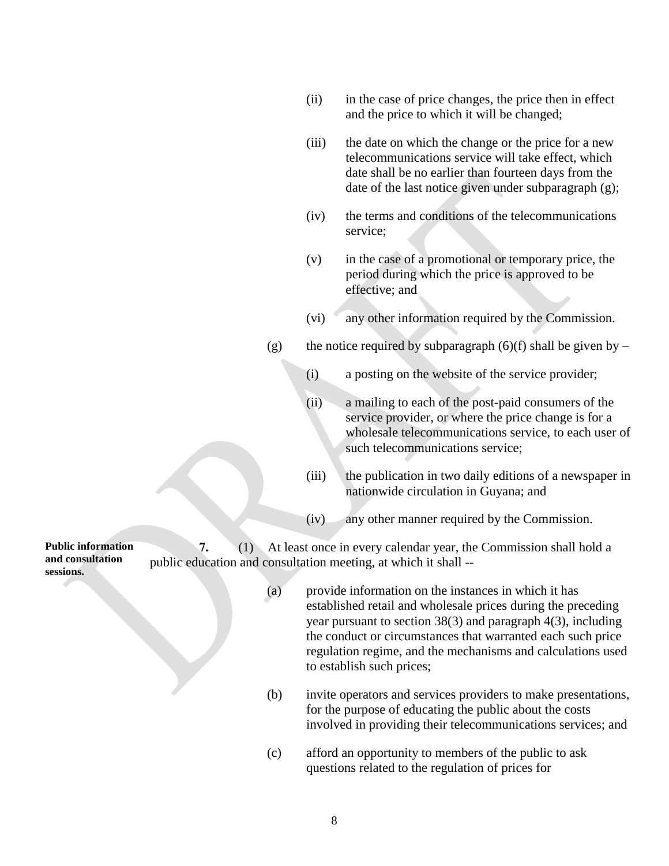- (ii) in the case of price changes, the price then in effect and the price to which it will be changed;
- (iii) the date on which the change or the price for a new telecommunications service will take effect, which date shall be no earlier than fourteen days from the date of the last notice given under subparagraph (g);
- (iv) the terms and conditions of the telecommunications service;
- (v) in the case of a promotional or temporary price, the period during which the price is approved to be effective; and
- (vi) any other information required by the Commission.
- (g) the notice required by subparagraph (6)(f) shall be given by
	- (i) a posting on the website of the service provider;
	- (ii) a mailing to each of the post-paid consumers of the service provider, or where the price change is for a wholesale telecommunications service, to each user of such telecommunications service;
	- (iii) the publication in two daily editions of a newspaper in nationwide circulation in Guyana; and
	- (iv) any other manner required by the Commission.

**Public information and consultation sessions. 7.** (1) At least once in every calendar year, the Commission shall hold a public education and consultation meeting, at which it shall --

- (a) provide information on the instances in which it has established retail and wholesale prices during the preceding year pursuant to section 38(3) and paragraph 4(3), including the conduct or circumstances that warranted each such price regulation regime, and the mechanisms and calculations used to establish such prices;
- (b) invite operators and services providers to make presentations, for the purpose of educating the public about the costs involved in providing their telecommunications services; and
- (c) afford an opportunity to members of the public to ask questions related to the regulation of prices for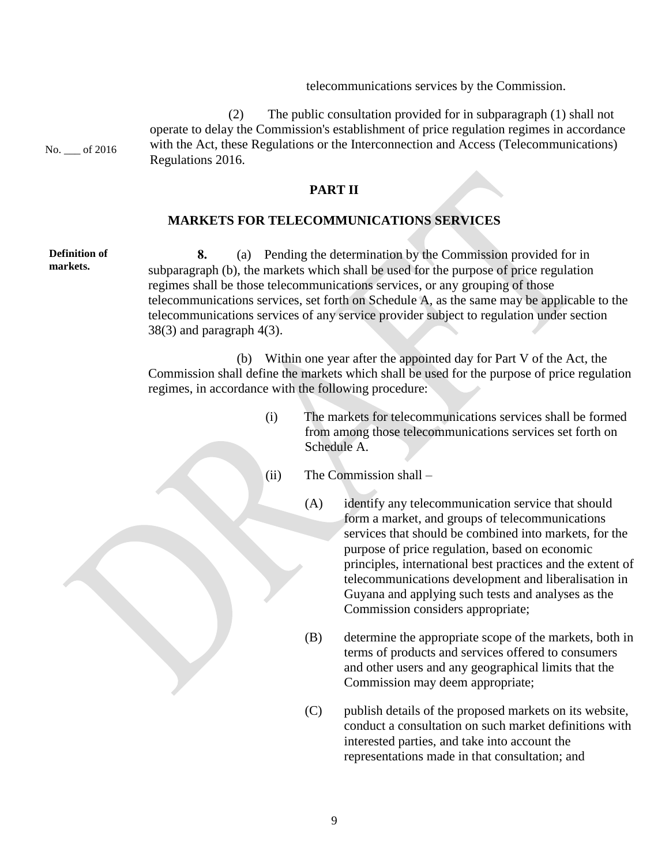telecommunications services by the Commission.

No. \_\_\_ of 2016

**Definition of markets.**

(2) The public consultation provided for in subparagraph (1) shall not operate to delay the Commission's establishment of price regulation regimes in accordance with the Act, these Regulations or the Interconnection and Access (Telecommunications) Regulations 2016.

## **PART II**

#### **MARKETS FOR TELECOMMUNICATIONS SERVICES**

**8.** (a) Pending the determination by the Commission provided for in subparagraph (b), the markets which shall be used for the purpose of price regulation regimes shall be those telecommunications services, or any grouping of those telecommunications services, set forth on Schedule A, as the same may be applicable to the telecommunications services of any service provider subject to regulation under section  $38(3)$  and paragraph  $4(3)$ .

 (b) Within one year after the appointed day for Part V of the Act, the Commission shall define the markets which shall be used for the purpose of price regulation regimes, in accordance with the following procedure:

- (i) The markets for telecommunications services shall be formed from among those telecommunications services set forth on Schedule A.
- (ii) The Commission shall
	- (A) identify any telecommunication service that should form a market, and groups of telecommunications services that should be combined into markets, for the purpose of price regulation, based on economic principles, international best practices and the extent of telecommunications development and liberalisation in Guyana and applying such tests and analyses as the Commission considers appropriate;
	- (B) determine the appropriate scope of the markets, both in terms of products and services offered to consumers and other users and any geographical limits that the Commission may deem appropriate;
	- (C) publish details of the proposed markets on its website, conduct a consultation on such market definitions with interested parties, and take into account the representations made in that consultation; and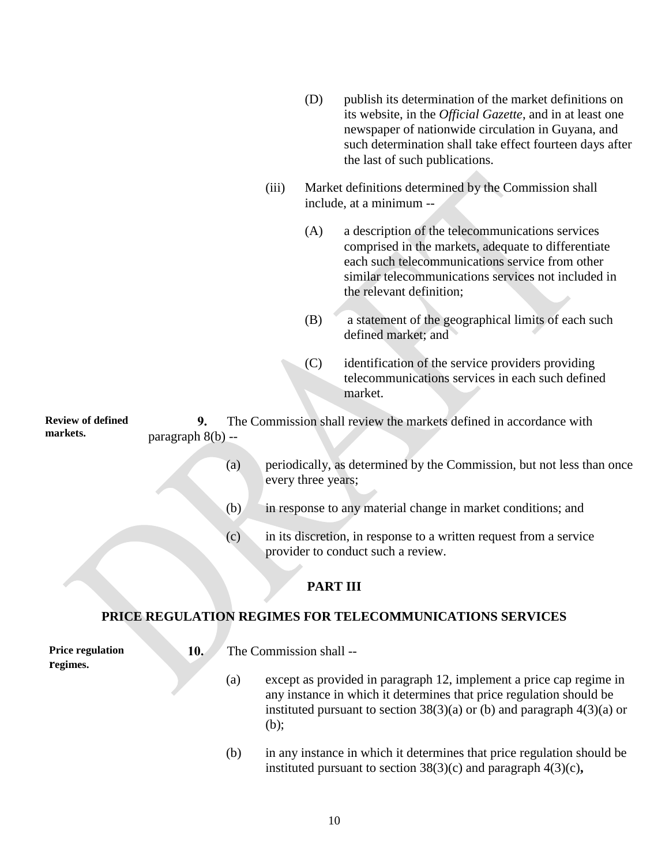|                          |    |       | (D) | publish its determination of the market definitions on<br>its website, in the <i>Official Gazette</i> , and in at least one<br>newspaper of nationwide circulation in Guyana, and<br>such determination shall take effect fourteen days after<br>the last of such publications. |
|--------------------------|----|-------|-----|---------------------------------------------------------------------------------------------------------------------------------------------------------------------------------------------------------------------------------------------------------------------------------|
|                          |    | (iii) |     | Market definitions determined by the Commission shall<br>include, at a minimum --                                                                                                                                                                                               |
|                          |    |       | (A) | a description of the telecommunications services<br>comprised in the markets, adequate to differentiate<br>each such telecommunications service from other<br>similar telecommunications services not included in<br>the relevant definition;                                   |
|                          |    |       | (B) | a statement of the geographical limits of each such<br>defined market; and                                                                                                                                                                                                      |
|                          |    |       | (C) | identification of the service providers providing<br>telecommunications services in each such defined<br>market.                                                                                                                                                                |
| <b>Review of defined</b> | 9. |       |     | The Commission shall review the markets defined in accordance with                                                                                                                                                                                                              |

**markets.** paragraph 8(b) --

- (a) periodically, as determined by the Commission, but not less than once every three years;
- (b) in response to any material change in market conditions; and
- (c) in its discretion, in response to a written request from a service provider to conduct such a review.

# **PART III**

# **PRICE REGULATION REGIMES FOR TELECOMMUNICATIONS SERVICES**

**Price regulation regimes.**

- **10.** The Commission shall --
	- (a) except as provided in paragraph 12, implement a price cap regime in any instance in which it determines that price regulation should be instituted pursuant to section  $38(3)(a)$  or (b) and paragraph  $4(3)(a)$  or (b);
	- (b) in any instance in which it determines that price regulation should be instituted pursuant to section 38(3)(c) and paragraph 4(3)(c)**,**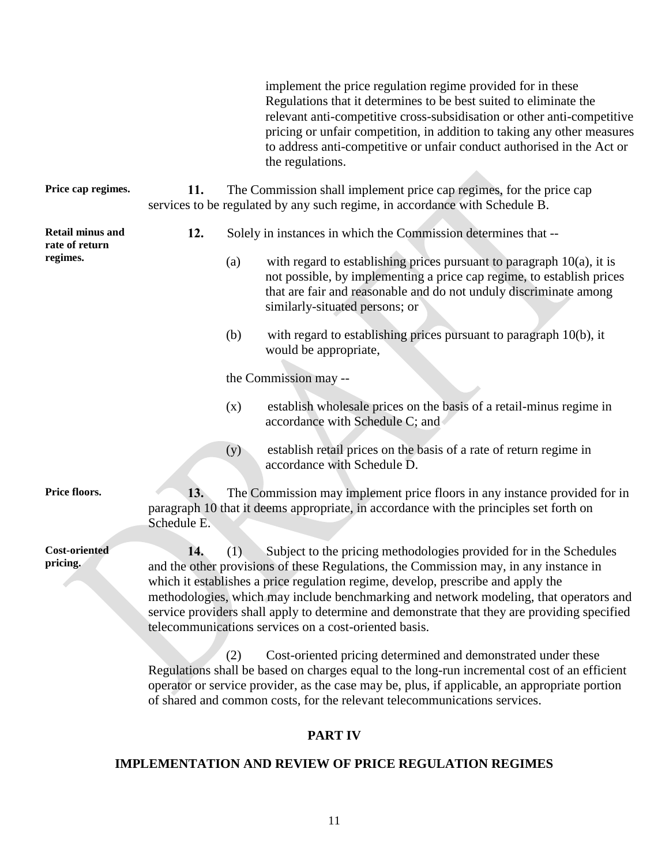implement the price regulation regime provided for in these Regulations that it determines to be best suited to eliminate the relevant anti-competitive cross-subsidisation or other anti-competitive pricing or unfair competition, in addition to taking any other measures to address anti-competitive or unfair conduct authorised in the Act or the regulations.

**Price cap regimes. 11.** The Commission shall implement price cap regimes, for the price cap services to be regulated by any such regime, in accordance with Schedule B.

**Retail minus and rate of return regimes.**

- **12.** Solely in instances in which the Commission determines that --
	- (a) with regard to establishing prices pursuant to paragraph  $10(a)$ , it is not possible, by implementing a price cap regime, to establish prices that are fair and reasonable and do not unduly discriminate among similarly-situated persons; or
	- (b) with regard to establishing prices pursuant to paragraph 10(b), it would be appropriate,

the Commission may --

- (x) establish wholesale prices on the basis of a retail-minus regime in accordance with Schedule C; and
- (y) establish retail prices on the basis of a rate of return regime in accordance with Schedule D.

**Cost-oriented pricing.**

**Price floors.** 13. The Commission may implement price floors in any instance provided for in paragraph 10 that it deems appropriate, in accordance with the principles set forth on Schedule E.

> **14.** (1) Subject to the pricing methodologies provided for in the Schedules and the other provisions of these Regulations, the Commission may, in any instance in which it establishes a price regulation regime, develop, prescribe and apply the methodologies, which may include benchmarking and network modeling, that operators and service providers shall apply to determine and demonstrate that they are providing specified telecommunications services on a cost-oriented basis.

(2) Cost-oriented pricing determined and demonstrated under these Regulations shall be based on charges equal to the long-run incremental cost of an efficient operator or service provider, as the case may be, plus, if applicable, an appropriate portion of shared and common costs, for the relevant telecommunications services.

## **PART IV**

#### **IMPLEMENTATION AND REVIEW OF PRICE REGULATION REGIMES**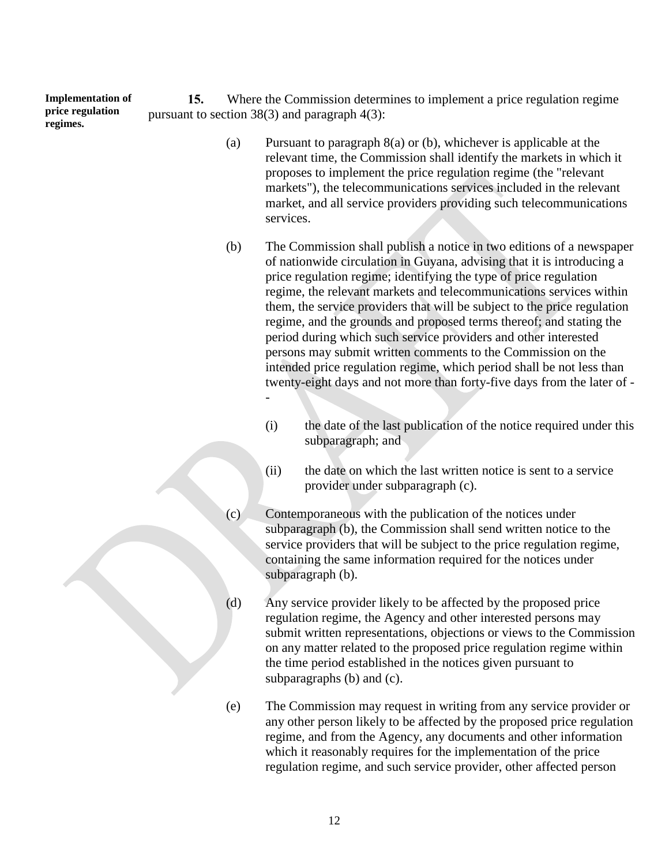**Implementation of price regulation regimes.**

**15.** Where the Commission determines to implement a price regulation regime pursuant to section 38(3) and paragraph 4(3):

- (a) Pursuant to paragraph 8(a) or (b), whichever is applicable at the relevant time, the Commission shall identify the markets in which it proposes to implement the price regulation regime (the "relevant markets"), the telecommunications services included in the relevant market, and all service providers providing such telecommunications services.
- (b) The Commission shall publish a notice in two editions of a newspaper of nationwide circulation in Guyana, advising that it is introducing a price regulation regime; identifying the type of price regulation regime, the relevant markets and telecommunications services within them, the service providers that will be subject to the price regulation regime, and the grounds and proposed terms thereof; and stating the period during which such service providers and other interested persons may submit written comments to the Commission on the intended price regulation regime, which period shall be not less than twenty-eight days and not more than forty-five days from the later of - -
	- (i) the date of the last publication of the notice required under this subparagraph; and
	- (ii) the date on which the last written notice is sent to a service provider under subparagraph (c).
- (c) Contemporaneous with the publication of the notices under subparagraph (b), the Commission shall send written notice to the service providers that will be subject to the price regulation regime, containing the same information required for the notices under subparagraph (b).
- (d) Any service provider likely to be affected by the proposed price regulation regime, the Agency and other interested persons may submit written representations, objections or views to the Commission on any matter related to the proposed price regulation regime within the time period established in the notices given pursuant to subparagraphs (b) and (c).
- (e) The Commission may request in writing from any service provider or any other person likely to be affected by the proposed price regulation regime, and from the Agency, any documents and other information which it reasonably requires for the implementation of the price regulation regime, and such service provider, other affected person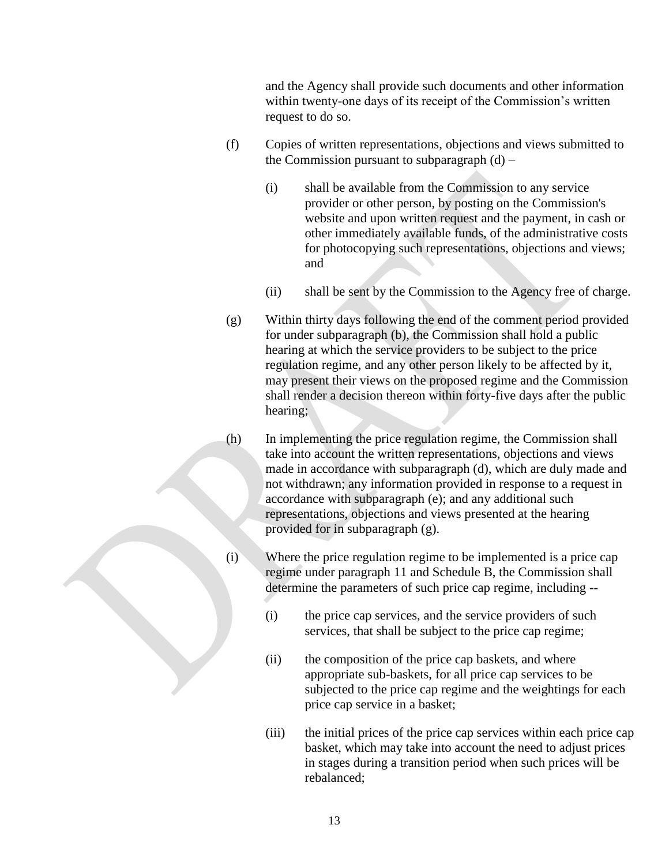and the Agency shall provide such documents and other information within twenty-one days of its receipt of the Commission's written request to do so.

- (f) Copies of written representations, objections and views submitted to the Commission pursuant to subparagraph  $(d)$  –
	- (i) shall be available from the Commission to any service provider or other person, by posting on the Commission's website and upon written request and the payment, in cash or other immediately available funds, of the administrative costs for photocopying such representations, objections and views; and
	- (ii) shall be sent by the Commission to the Agency free of charge.
- (g) Within thirty days following the end of the comment period provided for under subparagraph (b), the Commission shall hold a public hearing at which the service providers to be subject to the price regulation regime, and any other person likely to be affected by it, may present their views on the proposed regime and the Commission shall render a decision thereon within forty-five days after the public hearing;
- (h) In implementing the price regulation regime, the Commission shall take into account the written representations, objections and views made in accordance with subparagraph (d), which are duly made and not withdrawn; any information provided in response to a request in accordance with subparagraph (e); and any additional such representations, objections and views presented at the hearing provided for in subparagraph (g).
- (i) Where the price regulation regime to be implemented is a price cap regime under paragraph 11 and Schedule B, the Commission shall determine the parameters of such price cap regime, including --
	- (i) the price cap services, and the service providers of such services, that shall be subject to the price cap regime;
	- (ii) the composition of the price cap baskets, and where appropriate sub-baskets, for all price cap services to be subjected to the price cap regime and the weightings for each price cap service in a basket;
	- (iii) the initial prices of the price cap services within each price cap basket, which may take into account the need to adjust prices in stages during a transition period when such prices will be rebalanced;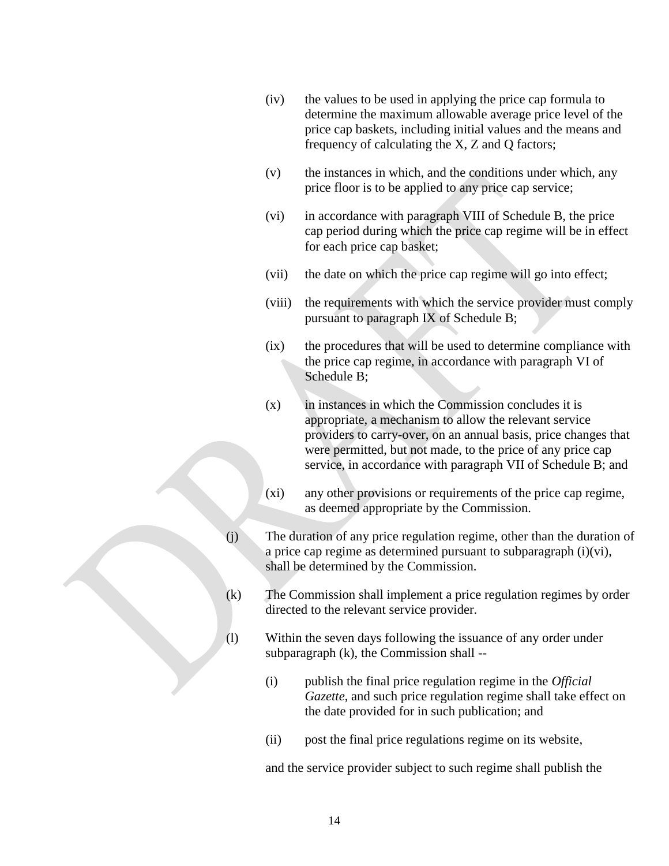- (iv) the values to be used in applying the price cap formula to determine the maximum allowable average price level of the price cap baskets, including initial values and the means and frequency of calculating the X, Z and Q factors;
- (v) the instances in which, and the conditions under which, any price floor is to be applied to any price cap service;
- (vi) in accordance with paragraph VIII of Schedule B, the price cap period during which the price cap regime will be in effect for each price cap basket;
- (vii) the date on which the price cap regime will go into effect;
- (viii) the requirements with which the service provider must comply pursuant to paragraph IX of Schedule B;
- (ix) the procedures that will be used to determine compliance with the price cap regime, in accordance with paragraph VI of Schedule B;
- $(x)$  in instances in which the Commission concludes it is appropriate, a mechanism to allow the relevant service providers to carry-over, on an annual basis, price changes that were permitted, but not made, to the price of any price cap service, in accordance with paragraph VII of Schedule B; and
- (xi) any other provisions or requirements of the price cap regime, as deemed appropriate by the Commission.
- (j) The duration of any price regulation regime, other than the duration of a price cap regime as determined pursuant to subparagraph (i)(vi), shall be determined by the Commission.
- (k) The Commission shall implement a price regulation regimes by order directed to the relevant service provider.
- (l) Within the seven days following the issuance of any order under subparagraph (k), the Commission shall --
	- (i) publish the final price regulation regime in the *Official Gazette*, and such price regulation regime shall take effect on the date provided for in such publication; and
	- (ii) post the final price regulations regime on its website,

and the service provider subject to such regime shall publish the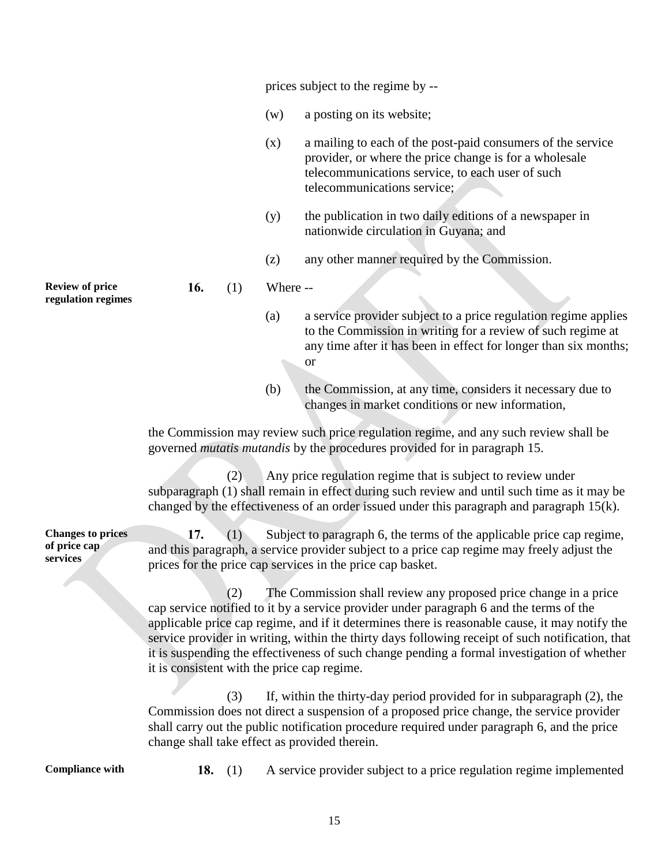prices subject to the regime by --

- (w) a posting on its website;
- (x) a mailing to each of the post-paid consumers of the service provider, or where the price change is for a wholesale telecommunications service, to each user of such telecommunications service;
- (y) the publication in two daily editions of a newspaper in nationwide circulation in Guyana; and
- (z) any other manner required by the Commission.

**16.** (1) Where --

- (a) a service provider subject to a price regulation regime applies to the Commission in writing for a review of such regime at any time after it has been in effect for longer than six months; or
- (b) the Commission, at any time, considers it necessary due to changes in market conditions or new information,

the Commission may review such price regulation regime, and any such review shall be governed *mutatis mutandis* by the procedures provided for in paragraph 15.

(2) Any price regulation regime that is subject to review under subparagraph (1) shall remain in effect during such review and until such time as it may be changed by the effectiveness of an order issued under this paragraph and paragraph 15(k).

**Changes to prices of price cap 17.** (1) Subject to paragraph 6, the terms of the applicable price cap regime, and this paragraph, a service provider subject to a price cap regime may freely adjust the prices for the price cap services in the price cap basket.

> (2) The Commission shall review any proposed price change in a price cap service notified to it by a service provider under paragraph 6 and the terms of the applicable price cap regime, and if it determines there is reasonable cause, it may notify the service provider in writing, within the thirty days following receipt of such notification, that it is suspending the effectiveness of such change pending a formal investigation of whether it is consistent with the price cap regime.

(3) If, within the thirty-day period provided for in subparagraph (2), the Commission does not direct a suspension of a proposed price change, the service provider shall carry out the public notification procedure required under paragraph 6, and the price change shall take effect as provided therein.

**services**

**Compliance with 18.** (1) A service provider subject to a price regulation regime implemented

**Review of price regulation regimes**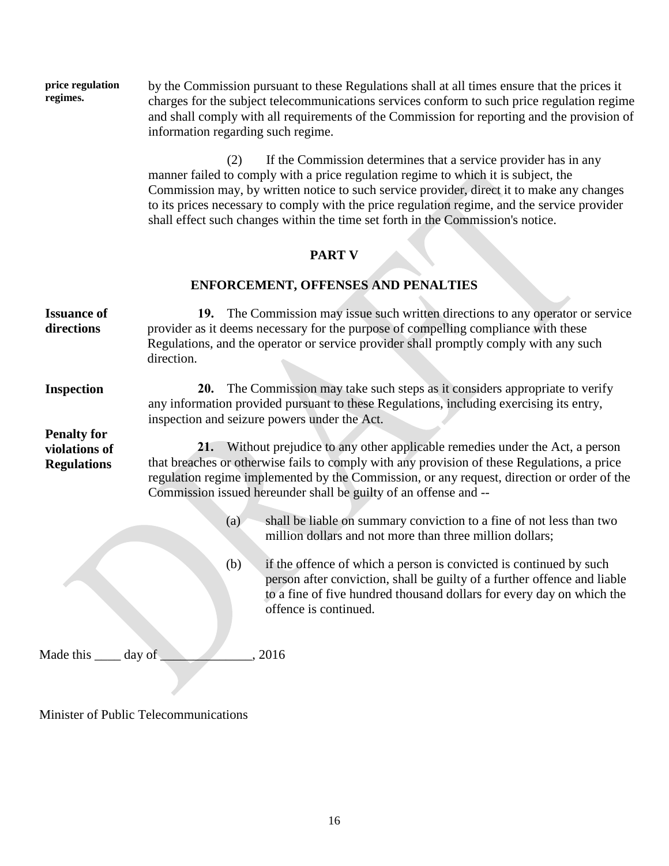**price regulation regimes.** by the Commission pursuant to these Regulations shall at all times ensure that the prices it charges for the subject telecommunications services conform to such price regulation regime and shall comply with all requirements of the Commission for reporting and the provision of information regarding such regime.

> (2) If the Commission determines that a service provider has in any manner failed to comply with a price regulation regime to which it is subject, the Commission may, by written notice to such service provider, direct it to make any changes to its prices necessary to comply with the price regulation regime, and the service provider shall effect such changes within the time set forth in the Commission's notice.

# **PART V**

# **ENFORCEMENT, OFFENSES AND PENALTIES**

| <b>Issuance of</b><br>directions                          | 19. The Commission may issue such written directions to any operator or service<br>provider as it deems necessary for the purpose of compelling compliance with these<br>Regulations, and the operator or service provider shall promptly comply with any such<br>direction.                                                                    |
|-----------------------------------------------------------|-------------------------------------------------------------------------------------------------------------------------------------------------------------------------------------------------------------------------------------------------------------------------------------------------------------------------------------------------|
| <b>Inspection</b>                                         | The Commission may take such steps as it considers appropriate to verify<br><b>20.</b><br>any information provided pursuant to these Regulations, including exercising its entry,<br>inspection and seizure powers under the Act.                                                                                                               |
| <b>Penalty for</b><br>violations of<br><b>Regulations</b> | 21. Without prejudice to any other applicable remedies under the Act, a person<br>that breaches or otherwise fails to comply with any provision of these Regulations, a price<br>regulation regime implemented by the Commission, or any request, direction or order of the<br>Commission issued hereunder shall be guilty of an offense and -- |
|                                                           | shall be liable on summary conviction to a fine of not less than two<br>(a)<br>million dollars and not more than three million dollars;                                                                                                                                                                                                         |
|                                                           | (b)<br>if the offence of which a person is convicted is continued by such<br>person after conviction, shall be guilty of a further offence and liable<br>to a fine of five hundred thousand dollars for every day on which the<br>offence is continued.                                                                                         |
| Made this _____ day of                                    | 2016                                                                                                                                                                                                                                                                                                                                            |

Minister of Public Telecommunications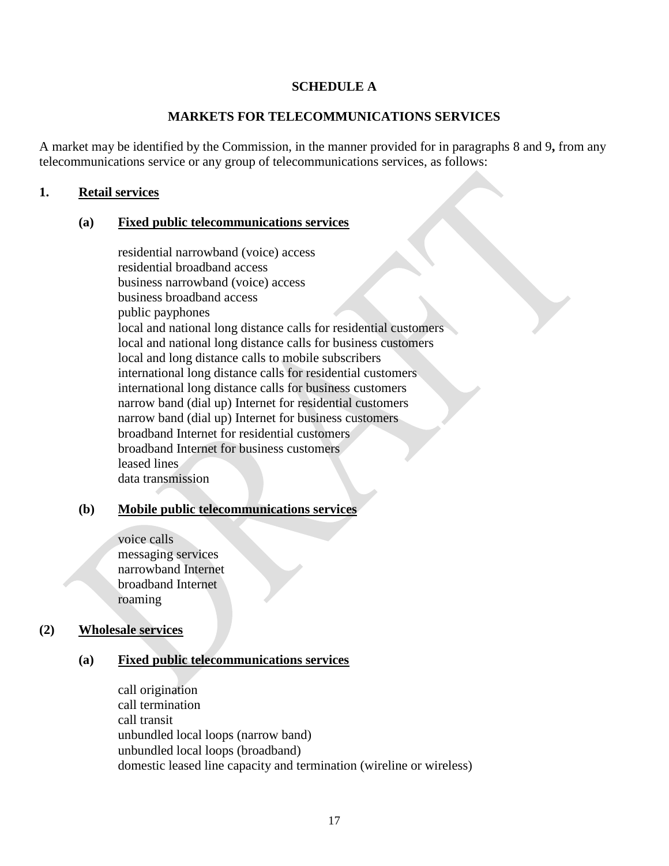### **SCHEDULE A**

### **MARKETS FOR TELECOMMUNICATIONS SERVICES**

A market may be identified by the Commission, in the manner provided for in paragraphs 8 and 9**,** from any telecommunications service or any group of telecommunications services, as follows:

### **1. Retail services**

#### **(a) Fixed public telecommunications services**

residential narrowband (voice) access residential broadband access business narrowband (voice) access business broadband access public payphones local and national long distance calls for residential customers local and national long distance calls for business customers local and long distance calls to mobile subscribers international long distance calls for residential customers international long distance calls for business customers narrow band (dial up) Internet for residential customers narrow band (dial up) Internet for business customers broadband Internet for residential customers broadband Internet for business customers leased lines data transmission

#### **(b) Mobile public telecommunications services**

voice calls messaging services narrowband Internet broadband Internet roaming

#### **(2) Wholesale services**

#### **(a) Fixed public telecommunications services**

call origination call termination call transit unbundled local loops (narrow band) unbundled local loops (broadband) domestic leased line capacity and termination (wireline or wireless)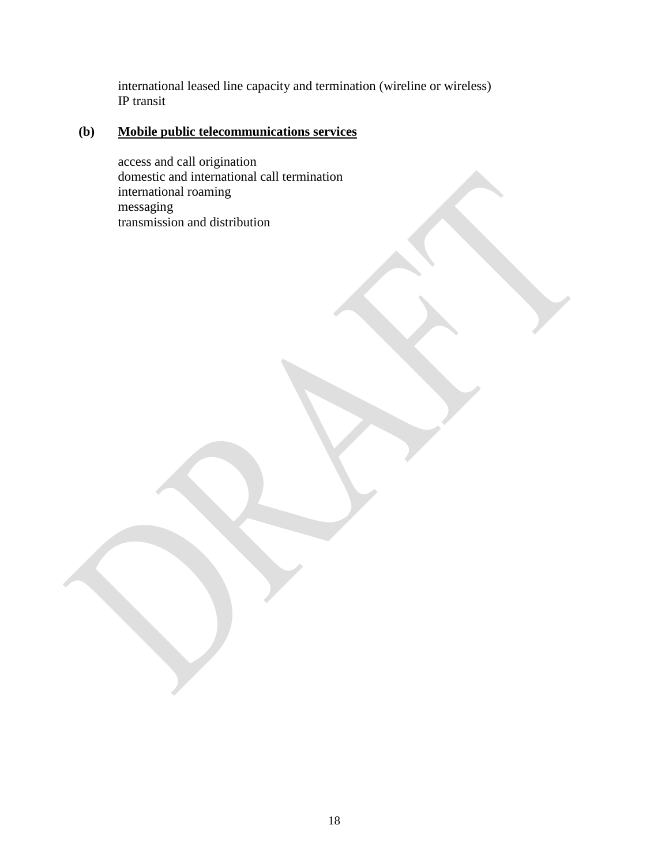international leased line capacity and termination (wireline or wireless) IP transit

# **(b) Mobile public telecommunications services**

access and call origination domestic and international call termination international roaming messaging transmission and distribution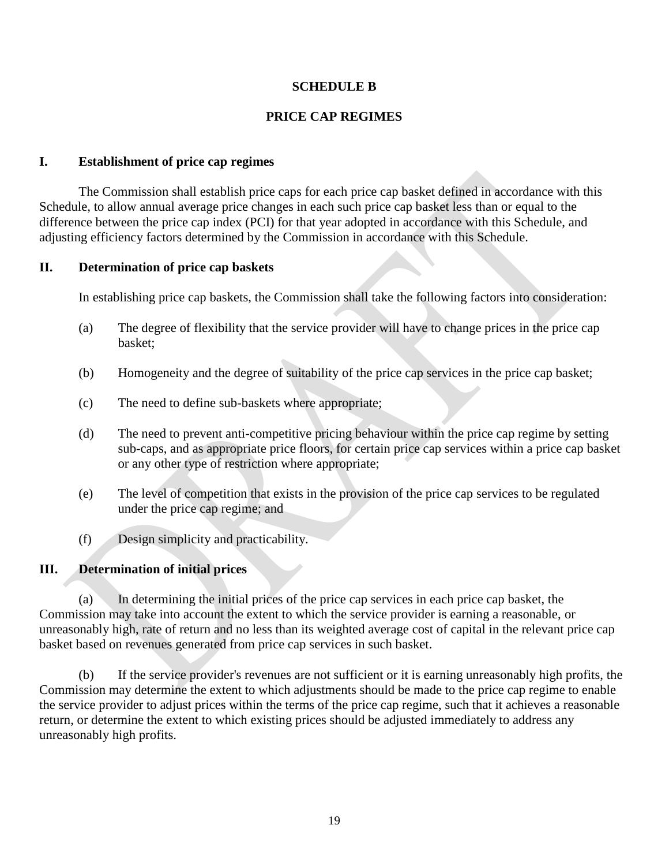## **SCHEDULE B**

# **PRICE CAP REGIMES**

#### **I. Establishment of price cap regimes**

The Commission shall establish price caps for each price cap basket defined in accordance with this Schedule, to allow annual average price changes in each such price cap basket less than or equal to the difference between the price cap index (PCI) for that year adopted in accordance with this Schedule, and adjusting efficiency factors determined by the Commission in accordance with this Schedule.

#### **II. Determination of price cap baskets**

In establishing price cap baskets, the Commission shall take the following factors into consideration:

- (a) The degree of flexibility that the service provider will have to change prices in the price cap basket;
- (b) Homogeneity and the degree of suitability of the price cap services in the price cap basket;
- (c) The need to define sub-baskets where appropriate;
- (d) The need to prevent anti-competitive pricing behaviour within the price cap regime by setting sub-caps, and as appropriate price floors, for certain price cap services within a price cap basket or any other type of restriction where appropriate;
- (e) The level of competition that exists in the provision of the price cap services to be regulated under the price cap regime; and
- (f) Design simplicity and practicability.

#### **III. Determination of initial prices**

(a) In determining the initial prices of the price cap services in each price cap basket, the Commission may take into account the extent to which the service provider is earning a reasonable, or unreasonably high, rate of return and no less than its weighted average cost of capital in the relevant price cap basket based on revenues generated from price cap services in such basket.

(b) If the service provider's revenues are not sufficient or it is earning unreasonably high profits, the Commission may determine the extent to which adjustments should be made to the price cap regime to enable the service provider to adjust prices within the terms of the price cap regime, such that it achieves a reasonable return, or determine the extent to which existing prices should be adjusted immediately to address any unreasonably high profits.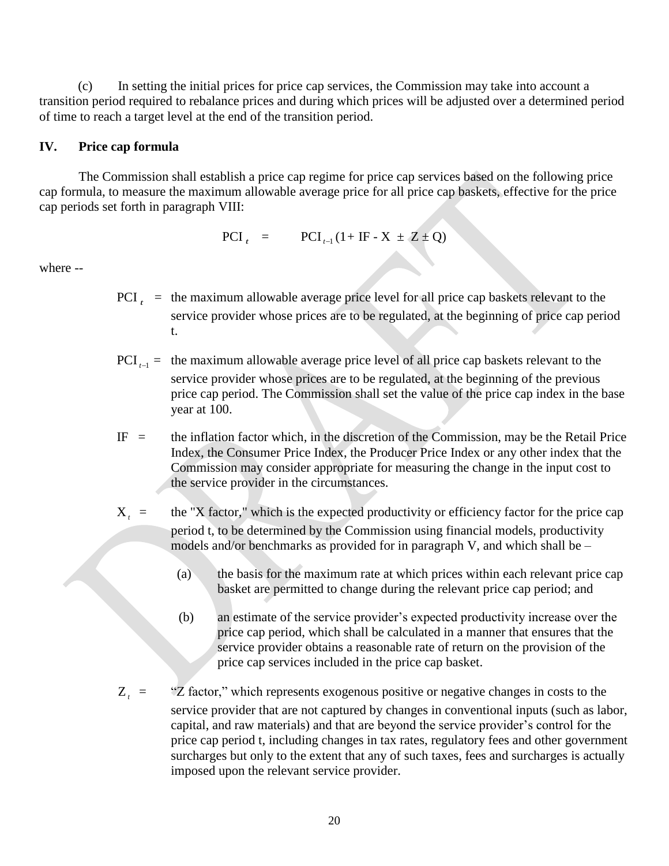(c) In setting the initial prices for price cap services, the Commission may take into account a transition period required to rebalance prices and during which prices will be adjusted over a determined period of time to reach a target level at the end of the transition period.

## **IV. Price cap formula**

The Commission shall establish a price cap regime for price cap services based on the following price cap formula, to measure the maximum allowable average price for all price cap baskets, effective for the price cap periods set forth in paragraph VIII:

$$
PCI_{t} = \qquad PCI_{t-1}(1 + IF - X \pm Z \pm Q)
$$

where --

- PCI  $<sub>t</sub>$  = the maximum allowable average price level for all price cap baskets relevant to the</sub> service provider whose prices are to be regulated, at the beginning of price cap period t.
- $PCI_{t-1}$  = the maximum allowable average price level of all price cap baskets relevant to the service provider whose prices are to be regulated, at the beginning of the previous price cap period. The Commission shall set the value of the price cap index in the base year at 100.
- $IF =$  the inflation factor which, in the discretion of the Commission, may be the Retail Price Index, the Consumer Price Index, the Producer Price Index or any other index that the Commission may consider appropriate for measuring the change in the input cost to the service provider in the circumstances.
- X *t* the "X factor," which is the expected productivity or efficiency factor for the price cap period t, to be determined by the Commission using financial models, productivity models and/or benchmarks as provided for in paragraph V, and which shall be –
	- (a) the basis for the maximum rate at which prices within each relevant price cap basket are permitted to change during the relevant price cap period; and
	- (b) an estimate of the service provider's expected productivity increase over the price cap period, which shall be calculated in a manner that ensures that the service provider obtains a reasonable rate of return on the provision of the price cap services included in the price cap basket.
- Z *t* = "Z factor," which represents exogenous positive or negative changes in costs to the service provider that are not captured by changes in conventional inputs (such as labor, capital, and raw materials) and that are beyond the service provider's control for the price cap period t, including changes in tax rates, regulatory fees and other government surcharges but only to the extent that any of such taxes, fees and surcharges is actually imposed upon the relevant service provider.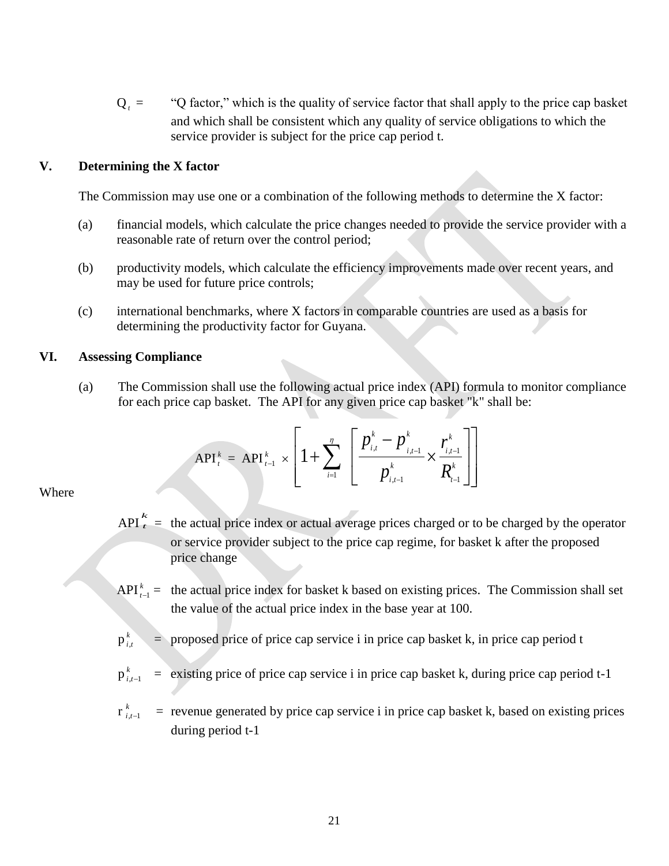$Q_t =$ *ta* to factor," which is the quality of service factor that shall apply to the price cap basket and which shall be consistent which any quality of service obligations to which the service provider is subject for the price cap period t.

#### **V. Determining the X factor**

The Commission may use one or a combination of the following methods to determine the X factor:

- (a) financial models, which calculate the price changes needed to provide the service provider with a reasonable rate of return over the control period;
- (b) productivity models, which calculate the efficiency improvements made over recent years, and may be used for future price controls;
- (c) international benchmarks, where X factors in comparable countries are used as a basis for determining the productivity factor for Guyana.

#### **VI. Assessing Compliance**

(a) The Commission shall use the following actual price index (API) formula to monitor compliance for each price cap basket. The API for any given price cap basket "k" shall be:

$$
API_t^k = API_{t-1}^k \times \left[1 + \sum_{i=1}^n \left[\frac{p_{i,t}^k - p_{i,t-1}^k}{p_{i,t-1}^k} \times \frac{r_{i,t-1}^k}{R_{t-1}^k}\right]\right]
$$

#### Where

- API *t k*  = the actual price index or actual average prices charged or to be charged by the operator or service provider subject to the price cap regime, for basket k after the proposed price change
- $API_{t-1}^k$  = the actual price index for basket k based on existing prices. The Commission shall set the value of the actual price index in the base year at 100.
- $p_i^k$ *i*,*t*  $=$  proposed price of price cap service i in price cap basket k, in price cap period t
- $p_i^k$  $i$ , $t-1$ = existing price of price cap service i in price cap basket k, during price cap period t-1

 $\mathbf{r}^{\;k}_{\;i}$  $i$ , $t-1$ = revenue generated by price cap service i in price cap basket k, based on existing prices during period t-1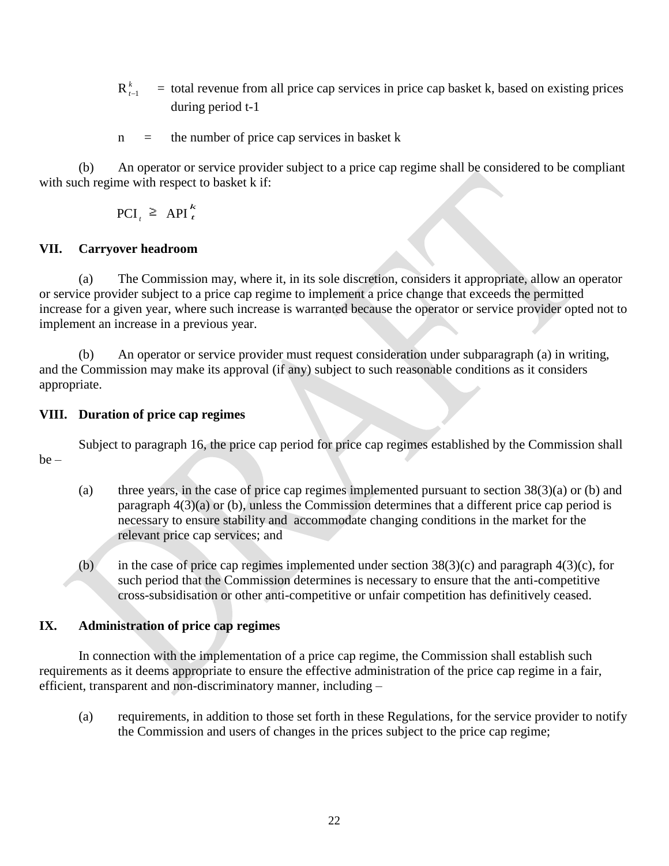- $\mathbf{R}^{\:k}_{\:t}$  $t-1$  = total revenue from all price cap services in price cap basket k, based on existing prices during period t-1
- $n =$  the number of price cap services in basket k

(b) An operator or service provider subject to a price cap regime shall be considered to be compliant with such regime with respect to basket k if:

> $\text{PCI}_t \geq \text{API}_t^{\wedge}$ *k*

# **VII. Carryover headroom**

(a) The Commission may, where it, in its sole discretion, considers it appropriate, allow an operator or service provider subject to a price cap regime to implement a price change that exceeds the permitted increase for a given year, where such increase is warranted because the operator or service provider opted not to implement an increase in a previous year.

(b) An operator or service provider must request consideration under subparagraph (a) in writing, and the Commission may make its approval (if any) subject to such reasonable conditions as it considers appropriate.

## **VIII. Duration of price cap regimes**

Subject to paragraph 16, the price cap period for price cap regimes established by the Commission shall be –

- (a) three years, in the case of price cap regimes implemented pursuant to section  $38(3)(a)$  or (b) and paragraph 4(3)(a) or (b), unless the Commission determines that a different price cap period is necessary to ensure stability and accommodate changing conditions in the market for the relevant price cap services; and
- (b) in the case of price cap regimes implemented under section  $38(3)(c)$  and paragraph  $4(3)(c)$ , for such period that the Commission determines is necessary to ensure that the anti-competitive cross-subsidisation or other anti-competitive or unfair competition has definitively ceased.

# **IX. Administration of price cap regimes**

In connection with the implementation of a price cap regime, the Commission shall establish such requirements as it deems appropriate to ensure the effective administration of the price cap regime in a fair, efficient, transparent and non-discriminatory manner, including –

(a) requirements, in addition to those set forth in these Regulations, for the service provider to notify the Commission and users of changes in the prices subject to the price cap regime;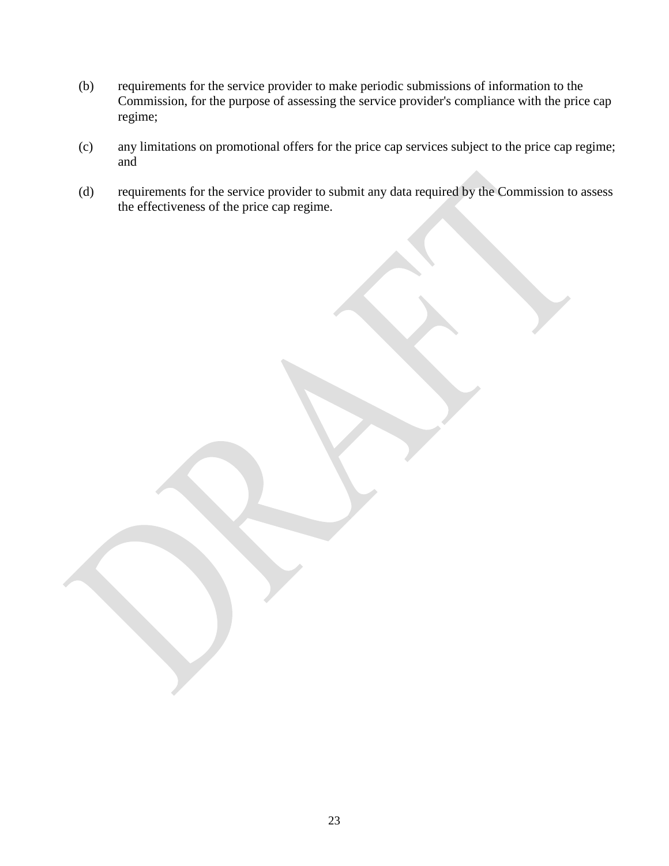- (b) requirements for the service provider to make periodic submissions of information to the Commission, for the purpose of assessing the service provider's compliance with the price cap regime;
- (c) any limitations on promotional offers for the price cap services subject to the price cap regime; and
- (d) requirements for the service provider to submit any data required by the Commission to assess the effectiveness of the price cap regime.

23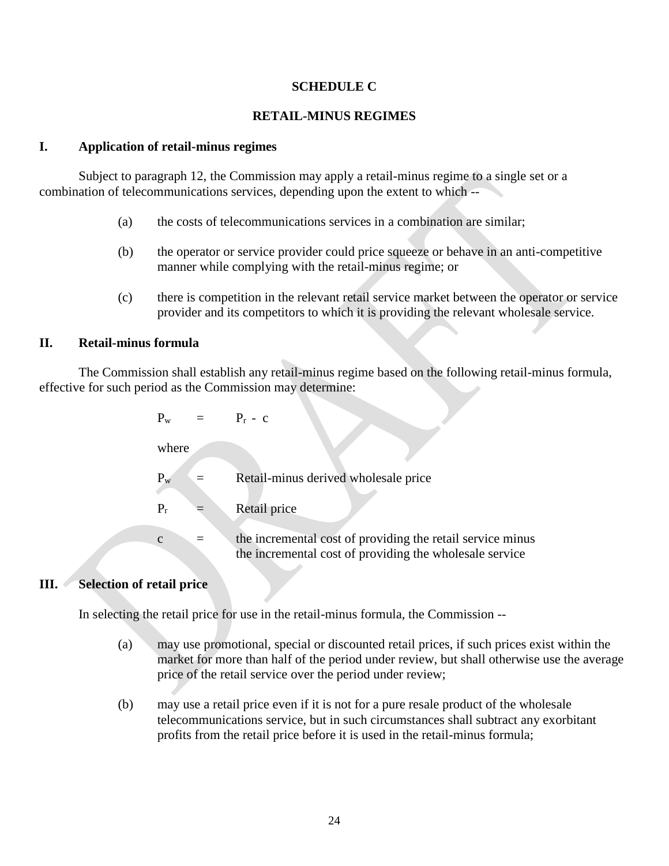### **SCHEDULE C**

## **RETAIL-MINUS REGIMES**

## **I. Application of retail-minus regimes**

Subject to paragraph 12, the Commission may apply a retail-minus regime to a single set or a combination of telecommunications services, depending upon the extent to which --

- (a) the costs of telecommunications services in a combination are similar;
- (b) the operator or service provider could price squeeze or behave in an anti-competitive manner while complying with the retail-minus regime; or
- (c) there is competition in the relevant retail service market between the operator or service provider and its competitors to which it is providing the relevant wholesale service.

#### **II. Retail-minus formula**

The Commission shall establish any retail-minus regime based on the following retail-minus formula, effective for such period as the Commission may determine:

| $P_w =$      | $P_r - c$                                                                                                             |
|--------------|-----------------------------------------------------------------------------------------------------------------------|
| where        |                                                                                                                       |
| $P_{w}$      | Retail-minus derived wholesale price                                                                                  |
| $P_r$        | Retail price                                                                                                          |
| $\mathbf{C}$ | the incremental cost of providing the retail service minus<br>the incremental cost of providing the wholesale service |

#### **III. Selection of retail price**

In selecting the retail price for use in the retail-minus formula, the Commission --

- (a) may use promotional, special or discounted retail prices, if such prices exist within the market for more than half of the period under review, but shall otherwise use the average price of the retail service over the period under review;
- (b) may use a retail price even if it is not for a pure resale product of the wholesale telecommunications service, but in such circumstances shall subtract any exorbitant profits from the retail price before it is used in the retail-minus formula;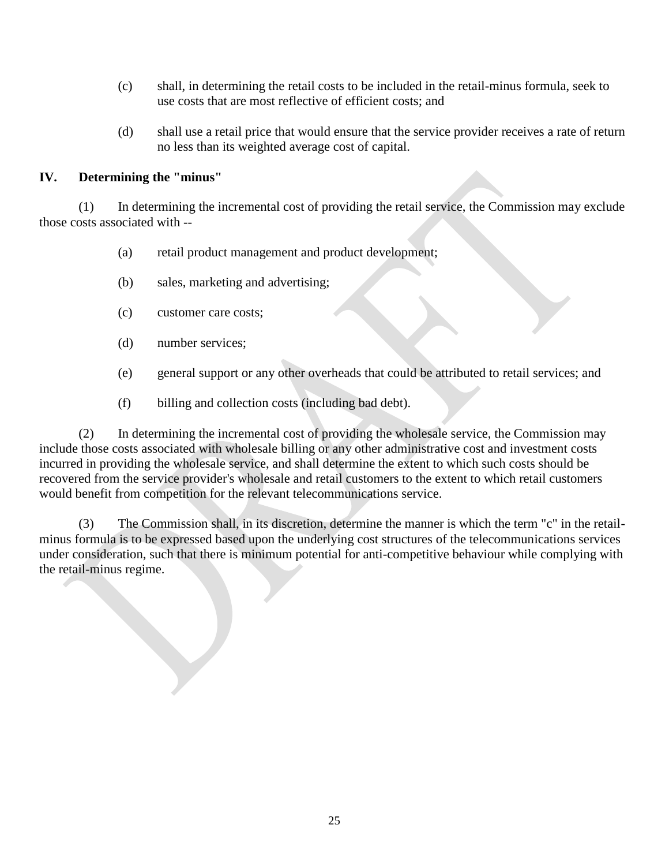- (c) shall, in determining the retail costs to be included in the retail-minus formula, seek to use costs that are most reflective of efficient costs; and
- (d) shall use a retail price that would ensure that the service provider receives a rate of return no less than its weighted average cost of capital.

# **IV. Determining the "minus"**

(1) In determining the incremental cost of providing the retail service, the Commission may exclude those costs associated with --

- (a) retail product management and product development;
- (b) sales, marketing and advertising;
- (c) customer care costs;
- (d) number services;
- (e) general support or any other overheads that could be attributed to retail services; and
- (f) billing and collection costs (including bad debt).

(2) In determining the incremental cost of providing the wholesale service, the Commission may include those costs associated with wholesale billing or any other administrative cost and investment costs incurred in providing the wholesale service, and shall determine the extent to which such costs should be recovered from the service provider's wholesale and retail customers to the extent to which retail customers would benefit from competition for the relevant telecommunications service.

(3) The Commission shall, in its discretion, determine the manner is which the term "c" in the retailminus formula is to be expressed based upon the underlying cost structures of the telecommunications services under consideration, such that there is minimum potential for anti-competitive behaviour while complying with the retail-minus regime.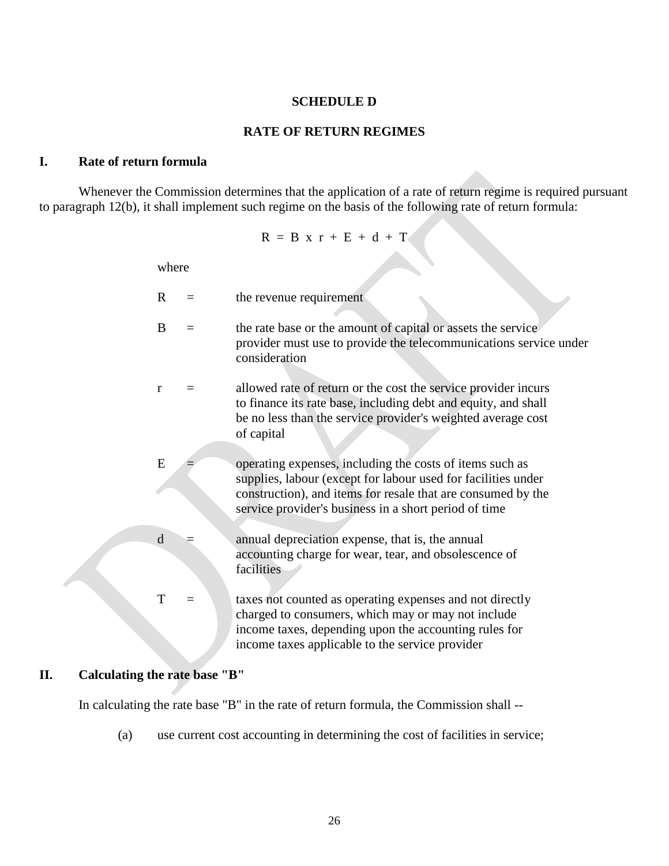#### **SCHEDULE D**

#### **RATE OF RETURN REGIMES**

#### **I. Rate of return formula**

Whenever the Commission determines that the application of a rate of return regime is required pursuant to paragraph 12(b), it shall implement such regime on the basis of the following rate of return formula:

$$
R = B \times r + E + d + T
$$

where

| R            | the revenue requirement                                                                                                                                                                                                                            |
|--------------|----------------------------------------------------------------------------------------------------------------------------------------------------------------------------------------------------------------------------------------------------|
| B            | the rate base or the amount of capital or assets the service<br>provider must use to provide the telecommunications service under<br>consideration                                                                                                 |
| $\mathbf{r}$ | allowed rate of return or the cost the service provider incurs<br>to finance its rate base, including debt and equity, and shall<br>be no less than the service provider's weighted average cost<br>of capital                                     |
| E            | operating expenses, including the costs of items such as<br>supplies, labour (except for labour used for facilities under<br>construction), and items for resale that are consumed by the<br>service provider's business in a short period of time |
| d            | annual depreciation expense, that is, the annual<br>accounting charge for wear, tear, and obsolescence of<br>facilities                                                                                                                            |
| T            | taxes not counted as operating expenses and not directly<br>charged to consumers, which may or may not include<br>income taxes, depending upon the accounting rules for<br>income taxes applicable to the service provider                         |
|              |                                                                                                                                                                                                                                                    |

### **II. Calculating the rate base "B"**

In calculating the rate base "B" in the rate of return formula, the Commission shall --

(a) use current cost accounting in determining the cost of facilities in service;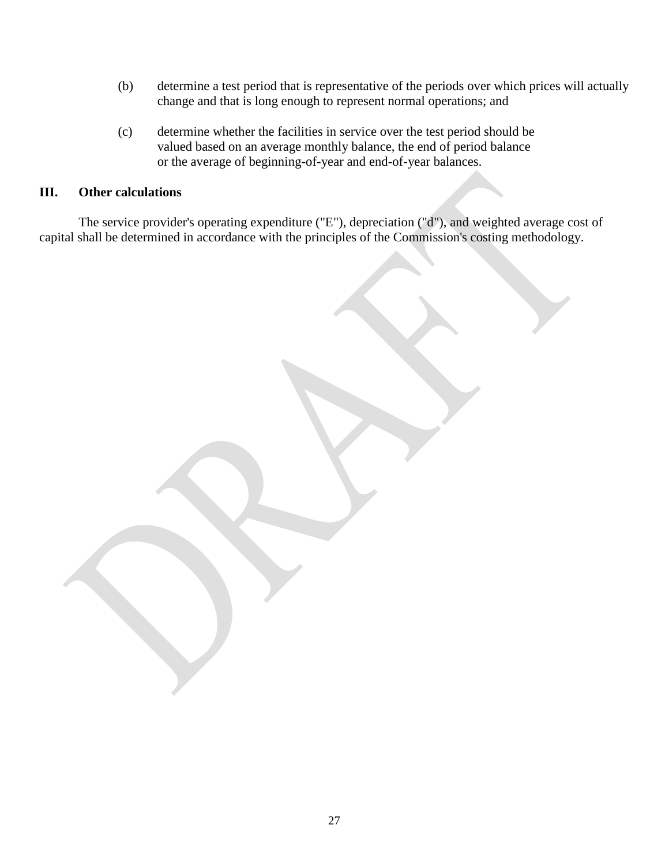- (b) determine a test period that is representative of the periods over which prices will actually change and that is long enough to represent normal operations; and
- (c) determine whether the facilities in service over the test period should be valued based on an average monthly balance, the end of period balance or the average of beginning-of-year and end-of-year balances.

## **III. Other calculations**

The service provider's operating expenditure ("E"), depreciation ("d"), and weighted average cost of capital shall be determined in accordance with the principles of the Commission's costing methodology.